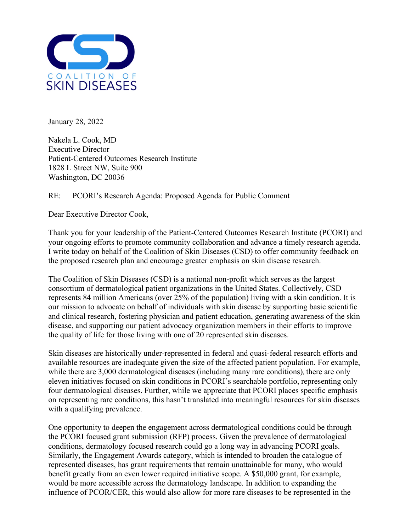

January 28, 2022

Nakela L. Cook, MD Executive Director Patient-Centered Outcomes Research Institute 1828 L Street NW, Suite 900 Washington, DC 20036

## RE: PCORI's Research Agenda: Proposed Agenda for Public Comment

Dear Executive Director Cook,

Thank you for your leadership of the Patient-Centered Outcomes Research Institute (PCORI) and your ongoing efforts to promote community collaboration and advance a timely research agenda. I write today on behalf of the Coalition of Skin Diseases (CSD) to offer community feedback on the proposed research plan and encourage greater emphasis on skin disease research.

The Coalition of Skin Diseases (CSD) is a national non-profit which serves as the largest consortium of dermatological patient organizations in the United States. Collectively, CSD represents 84 million Americans (over 25% of the population) living with a skin condition. It is our mission to advocate on behalf of individuals with skin disease by supporting basic scientific and clinical research, fostering physician and patient education, generating awareness of the skin disease, and supporting our patient advocacy organization members in their efforts to improve the quality of life for those living with one of 20 represented skin diseases.

Skin diseases are historically under-represented in federal and quasi-federal research efforts and available resources are inadequate given the size of the affected patient population. For example, while there are 3,000 dermatological diseases (including many rare conditions), there are only eleven initiatives focused on skin conditions in PCORI's searchable portfolio, representing only four dermatological diseases. Further, while we appreciate that PCORI places specific emphasis on representing rare conditions, this hasn't translated into meaningful resources for skin diseases with a qualifying prevalence.

One opportunity to deepen the engagement across dermatological conditions could be through the PCORI focused grant submission (RFP) process. Given the prevalence of dermatological conditions, dermatology focused research could go a long way in advancing PCORI goals. Similarly, the Engagement Awards category, which is intended to broaden the catalogue of represented diseases, has grant requirements that remain unattainable for many, who would benefit greatly from an even lower required initiative scope. A \$50,000 grant, for example, would be more accessible across the dermatology landscape. In addition to expanding the influence of PCOR/CER, this would also allow for more rare diseases to be represented in the